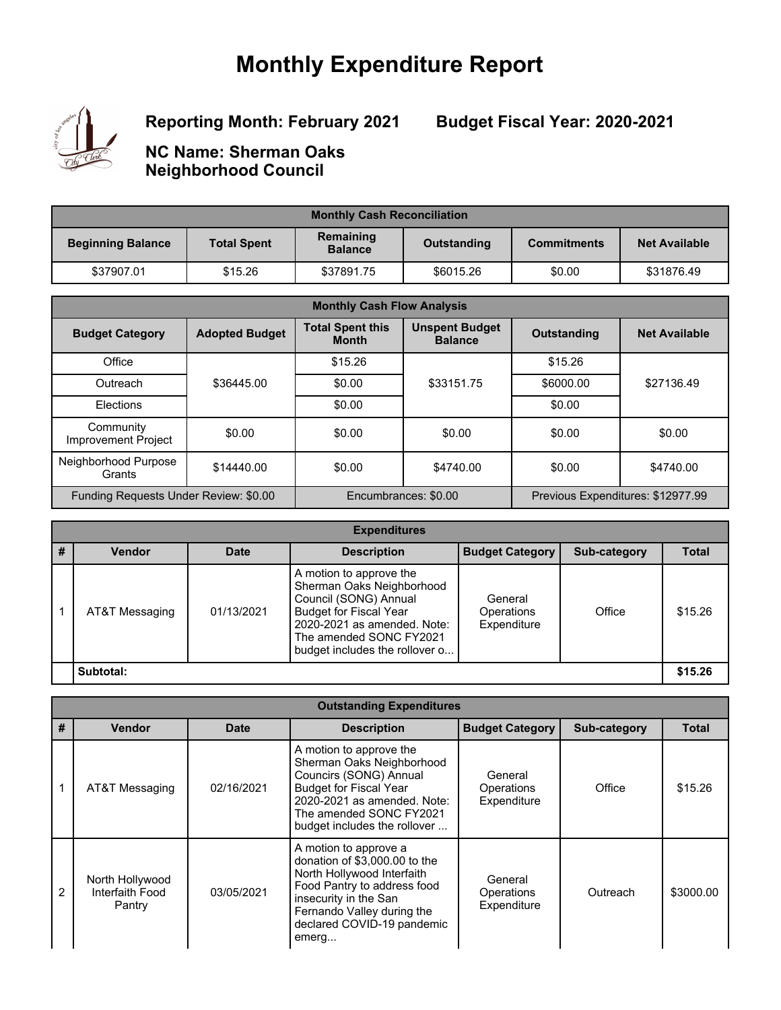## **Monthly Expenditure Report**



**Reporting Month: February 2021**

**Budget Fiscal Year: 2020-2021**

**NC Name: Sherman Oaks Neighborhood Council**

| <b>Monthly Cash Reconciliation</b> |                    |                                            |           |                                            |            |  |  |
|------------------------------------|--------------------|--------------------------------------------|-----------|--------------------------------------------|------------|--|--|
| <b>Beginning Balance</b>           | <b>Total Spent</b> | Remaining<br>Outstanding<br><b>Balance</b> |           | <b>Net Available</b><br><b>Commitments</b> |            |  |  |
| \$37907.01                         | \$15.26            | \$37891.75                                 | \$6015.26 | \$0.00                                     | \$31876.49 |  |  |

| <b>Monthly Cash Flow Analysis</b>       |                       |                                         |                                                               |                                   |                      |  |  |
|-----------------------------------------|-----------------------|-----------------------------------------|---------------------------------------------------------------|-----------------------------------|----------------------|--|--|
| <b>Budget Category</b>                  | <b>Adopted Budget</b> | <b>Total Spent this</b><br><b>Month</b> | <b>Unspent Budget</b><br><b>Outstanding</b><br><b>Balance</b> |                                   | <b>Net Available</b> |  |  |
| Office                                  |                       | \$15.26                                 |                                                               | \$15.26                           |                      |  |  |
| Outreach                                | \$36445.00            | \$0.00                                  | \$33151.75                                                    | \$6000.00                         | \$27136.49           |  |  |
| Elections                               |                       | \$0.00                                  |                                                               | \$0.00                            |                      |  |  |
| Community<br><b>Improvement Project</b> | \$0.00                | \$0.00                                  | \$0.00                                                        | \$0.00                            | \$0.00               |  |  |
| Neighborhood Purpose<br>Grants          | \$14440.00            | \$0.00                                  | \$4740.00                                                     | \$0.00                            | \$4740.00            |  |  |
| Funding Requests Under Review: \$0.00   |                       |                                         | Encumbrances: \$0.00                                          | Previous Expenditures: \$12977.99 |                      |  |  |

| <b>Expenditures</b> |                |             |                                                                                                                                                                                                            |                                      |              |              |  |  |
|---------------------|----------------|-------------|------------------------------------------------------------------------------------------------------------------------------------------------------------------------------------------------------------|--------------------------------------|--------------|--------------|--|--|
| #                   | <b>Vendor</b>  | <b>Date</b> | <b>Description</b>                                                                                                                                                                                         | <b>Budget Category</b>               | Sub-category | <b>Total</b> |  |  |
|                     | AT&T Messaging | 01/13/2021  | A motion to approve the<br>Sherman Oaks Neighborhood<br>Council (SONG) Annual<br><b>Budget for Fiscal Year</b><br>2020-2021 as amended. Note:<br>The amended SONC FY2021<br>budget includes the rollover o | General<br>Operations<br>Expenditure | Office       | \$15.26      |  |  |
|                     | Subtotal:      |             |                                                                                                                                                                                                            |                                      |              | \$15.26      |  |  |

|  | <b>Outstanding Expenditures</b> |
|--|---------------------------------|
|--|---------------------------------|

| # | <b>Vendor</b>                                | <b>Date</b> | <b>Description</b>                                                                                                                                                                                                | <b>Budget Category</b>               | <b>Sub-category</b> | <b>Total</b> |
|---|----------------------------------------------|-------------|-------------------------------------------------------------------------------------------------------------------------------------------------------------------------------------------------------------------|--------------------------------------|---------------------|--------------|
|   | AT&T Messaging                               | 02/16/2021  | A motion to approve the<br>Sherman Oaks Neighborhood<br>Councirs (SONG) Annual<br><b>Budget for Fiscal Year</b><br>2020-2021 as amended. Note:<br>The amended SONC FY2021<br>budget includes the rollover         | General<br>Operations<br>Expenditure | Office              | \$15.26      |
| 2 | North Hollywood<br>Interfaith Food<br>Pantry | 03/05/2021  | A motion to approve a<br>donation of \$3,000.00 to the<br>North Hollywood Interfaith<br>Food Pantry to address food<br>insecurity in the San<br>Fernando Valley during the<br>declared COVID-19 pandemic<br>emerg | General<br>Operations<br>Expenditure | Outreach            | \$3000.00    |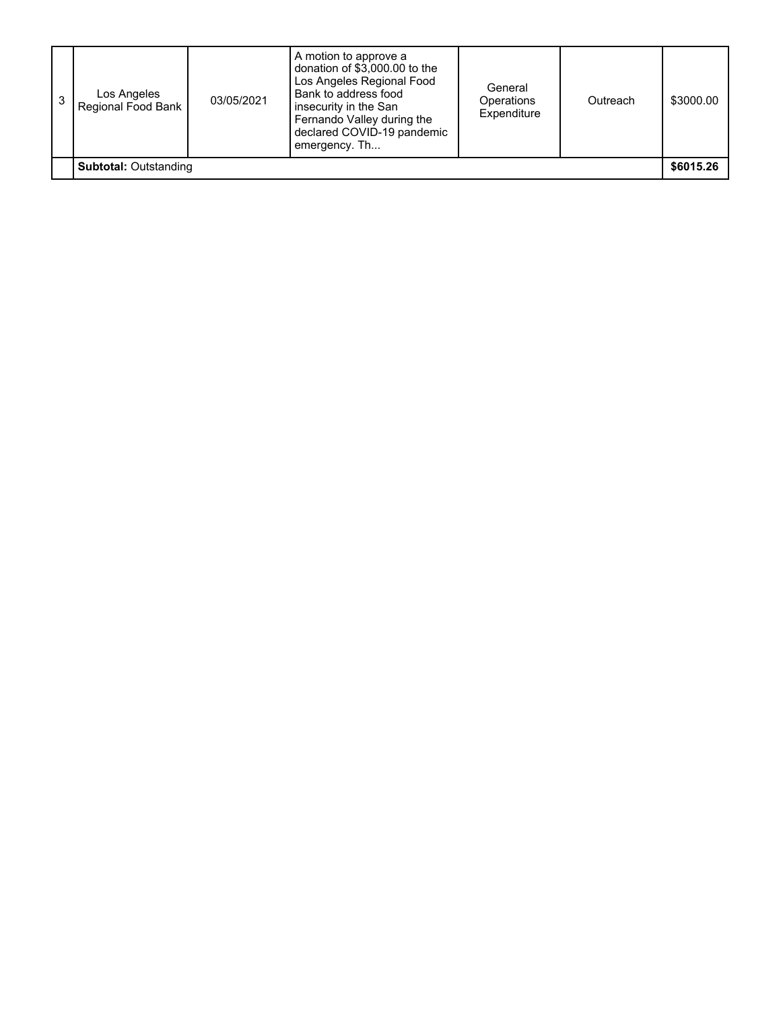| 3                            | Los Angeles<br>Regional Food Bank | 03/05/2021 | donation of \$3,000.00 to the<br>Los Angeles Regional Food<br>Bank to address food<br>insecurity in the San<br>Fernando Valley during the<br>declared COVID-19 pandemic<br>emergency. Th | General<br><b>Operations</b><br>Expenditure | Outreach | \$3000.00 |
|------------------------------|-----------------------------------|------------|------------------------------------------------------------------------------------------------------------------------------------------------------------------------------------------|---------------------------------------------|----------|-----------|
| <b>Subtotal: Outstanding</b> |                                   |            |                                                                                                                                                                                          |                                             |          |           |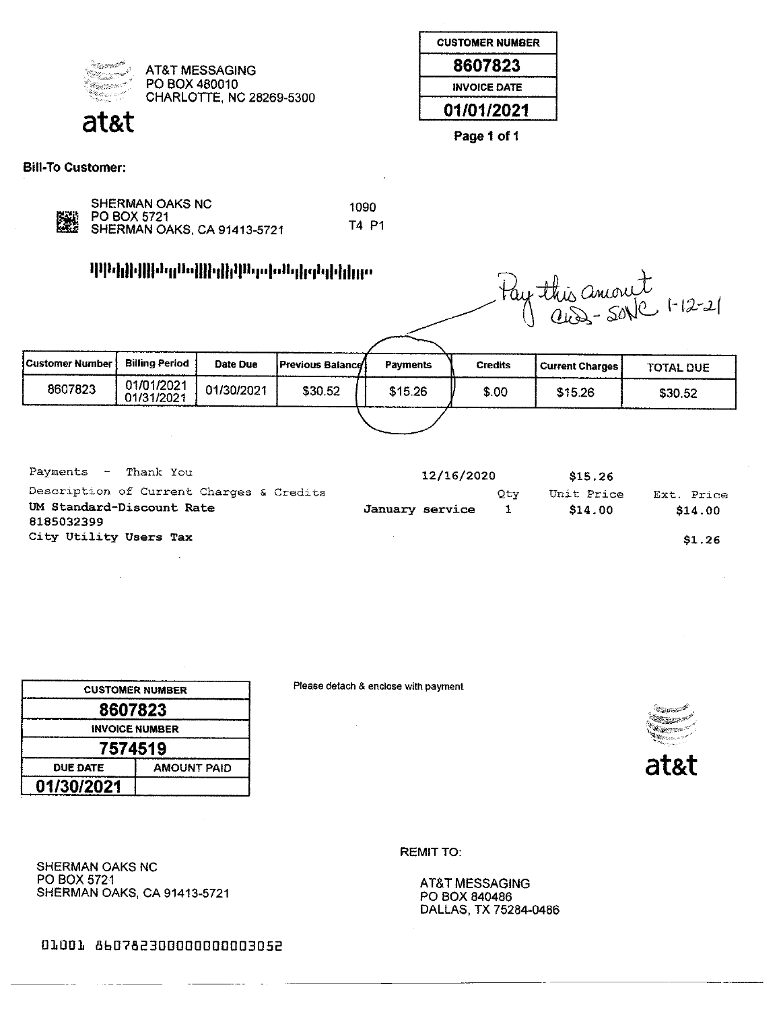

**AT&T MESSAGING** PO BOX 480010 CHARLOTTE, NC 28269-5300

| <b>CUSTOMER NUMBER</b> |
|------------------------|
| 8607823                |
| <b>INVOICE DATE</b>    |
| 01/01/2021             |

Page 1 of 1

**Bill-To Customer:** 

|   | SHERM  |
|---|--------|
| 灐 | PO BO) |
|   | SHERM  |

**AN OAKS NC** X 5721 AN OAKS, CA 91413-5721

1090 T4 P1

## որկելիկի հղվակիկի կուլենի կերկվել<br>Մինկիկի հայերեն

|                 |                          |            | <u>դվորիկի դարովկեկի կո</u> սեցրենիկներ |          | tay this amout<br>aus-sove 1-12-21 |                        |           |  |
|-----------------|--------------------------|------------|-----------------------------------------|----------|------------------------------------|------------------------|-----------|--|
| Customer Number | <b>Billing Period</b>    | Date Due   | <b>Previous Balance</b>                 | Payments | <b>Credits</b>                     | <b>Current Charges</b> | TOTAL DUE |  |
| 8607823         | 01/01/2021<br>01/31/2021 | 01/30/2021 | \$30.52                                 | \$15.26  | \$.00                              | \$15.26                | \$30.52   |  |
|                 |                          |            |                                         |          |                                    |                        |           |  |

| Payments $-$ '<br>Thank You                                                         | 12/16/2020      |     | \$15.26               |                       |
|-------------------------------------------------------------------------------------|-----------------|-----|-----------------------|-----------------------|
| Description of Current Charges & Credits<br>UM Standard-Discount Rate<br>8185032399 | January service | Qtv | Unit Price<br>\$14.00 | Ext. Price<br>\$14.00 |
| City Utility Users Tax                                                              |                 |     |                       | \$1.26                |

|                       | <b>CUSTOMER NUMBER</b> |  |  |  |  |
|-----------------------|------------------------|--|--|--|--|
| 8607823               |                        |  |  |  |  |
| <b>INVOICE NUMBER</b> |                        |  |  |  |  |
|                       | 7574519                |  |  |  |  |
| <b>DUE DATE</b>       | <b>AMOUNT PAID</b>     |  |  |  |  |
| 01/30/2021            |                        |  |  |  |  |

SHERMAN OAKS, CA 91413-5721

SHERMAN OAKS NC PO BOX 5721

Please detach & enclose with payment



**REMIT TO:** 

AT&T MESSAGING PO BOX 840486 DALLAS, TX 75284-0486

01001 860782300000000003052